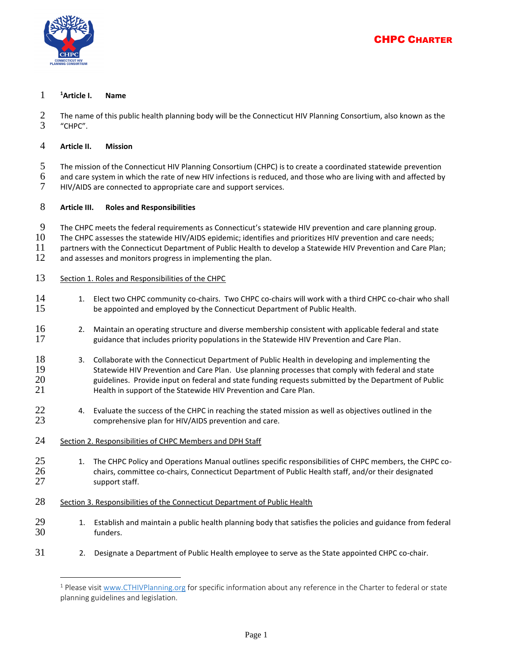

#### **<sup>1</sup>** 1 **Article I. Name**

2 The name of this public health planning body will be the Connecticut HIV Planning Consortium, also known as the "CHPC". "CHPC".

#### 4 **Article II. Mission**

 $\overline{a}$ 

5 The mission of the Connecticut HIV Planning Consortium (CHPC) is to create a coordinated statewide prevention 6 and care system in which the rate of new HIV infections is reduced, and those who are living with and affected by 7 HIV/AIDS are connected to appropriate care and support services.

### 8 **Article III. Roles and Responsibilities**

9 The CHPC meets the federal requirements as Connecticut's statewide HIV prevention and care planning group.

- 10 The CHPC assesses the statewide HIV/AIDS epidemic; identifies and prioritizes HIV prevention and care needs;
- 11 partners with the Connecticut Department of Public Health to develop a Statewide HIV Prevention and Care Plan;

12 and assesses and monitors progress in implementing the plan.

- 13 Section 1. Roles and Responsibilities of the CHPC
- 14 1. Elect two CHPC community co-chairs. Two CHPC co-chairs will work with a third CHPC co-chair who shall 15 be appointed and employed by the Connecticut Department of Public Health.
- 16 2. Maintain an operating structure and diverse membership consistent with applicable federal and state 17 guidance that includes priority populations in the Statewide HIV Prevention and Care Plan.
- 18 3. Collaborate with the Connecticut Department of Public Health in developing and implementing the 19 Statewide HIV Prevention and Care Plan. Use planning processes that comply with federal and state 20 guidelines. Provide input on federal and state funding requests submitted by the Department of Public 21 Health in support of the Statewide HIV Prevention and Care Plan.
- 22 4. Evaluate the success of the CHPC in reaching the stated mission as well as objectives outlined in the 23 comprehensive plan for HIV/AIDS prevention and care.
- 24 Section 2. Responsibilities of CHPC Members and DPH Staff
- 25 1. The CHPC Policy and Operations Manual outlines specific responsibilities of CHPC members, the CHPC co-26 chairs, committee co-chairs, Connecticut Department of Public Health staff, and/or their designated 27 support staff.
- 28 Section 3. Responsibilities of the Connecticut Department of Public Health
- 29 1. Establish and maintain a public health planning body that satisfies the policies and guidance from federal 30 funders.
- 31 2. Designate a Department of Public Health employee to serve as the State appointed CHPC co-chair.

 $1$  Please visit [www.CTHIVPlanning.org](http://www.cthivplanning.org/) for specific information about any reference in the Charter to federal or state planning guidelines and legislation.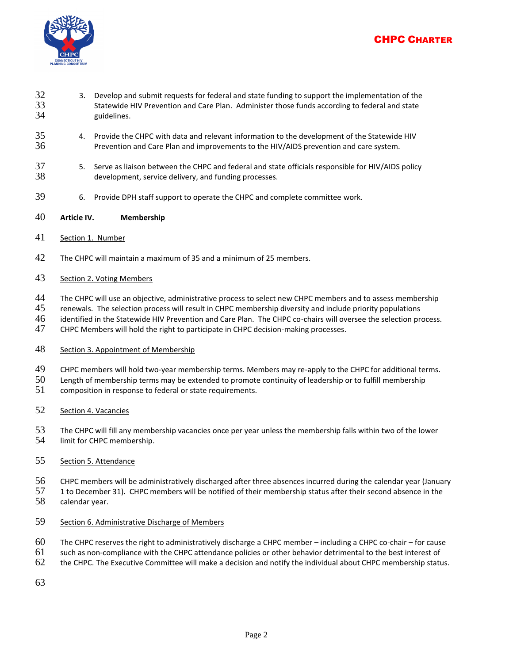



- 32 3. Develop and submit requests for federal and state funding to support the implementation of the 33 Statewide HIV Prevention and Care Plan. Administer those funds according to federal and state guidelines.
- 4. Provide the CHPC with data and relevant information to the development of the Statewide HIV Prevention and Care Plan and improvements to the HIV/AIDS prevention and care system.
- 5. Serve as liaison between the CHPC and federal and state officials responsible for HIV/AIDS policy development, service delivery, and funding processes.
- 6. Provide DPH staff support to operate the CHPC and complete committee work.
- **Article IV. Membership**
- Section 1. Number
- The CHPC will maintain a maximum of 35 and a minimum of 25 members.

### Section 2. Voting Members

- 44 The CHPC will use an objective, administrative process to select new CHPC members and to assess membership<br>45 renewals. The selection process will result in CHPC membership diversity and include priority populations
- renewals. The selection process will result in CHPC membership diversity and include priority populations
- identified in the Statewide HIV Prevention and Care Plan. The CHPC co-chairs will oversee the selection process.
- CHPC Members will hold the right to participate in CHPC decision-making processes.

#### 48 Section 3. Appointment of Membership

- CHPC members will hold two-year membership terms. Members may re-apply to the CHPC for additional terms.
- Length of membership terms may be extended to promote continuity of leadership or to fulfill membership
- 51 composition in response to federal or state requirements.
- Section 4. Vacancies
- The CHPC will fill any membership vacancies once per year unless the membership falls within two of the lower limit for CHPC membership.
- Section 5. Attendance
- CHPC members will be administratively discharged after three absences incurred during the calendar year (January
- 1 to December 31). CHPC members will be notified of their membership status after their second absence in the calendar year.
- 59 Section 6. Administrative Discharge of Members
- The CHPC reserves the right to administratively discharge a CHPC member including a CHPC co-chair for cause
- such as non-compliance with the CHPC attendance policies or other behavior detrimental to the best interest of
- the CHPC. The Executive Committee will make a decision and notify the individual about CHPC membership status.
-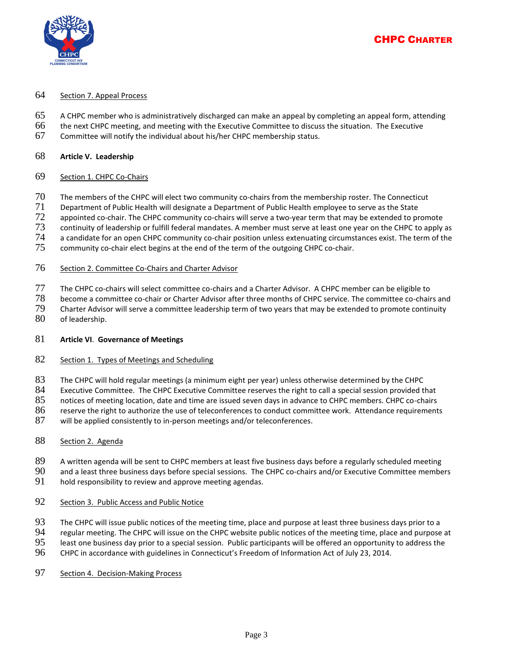

# CHPC CHARTER

#### Section 7. Appeal Process

- A CHPC member who is administratively discharged can make an appeal by completing an appeal form, attending
- the next CHPC meeting, and meeting with the Executive Committee to discuss the situation. The Executive
- Committee will notify the individual about his/her CHPC membership status.

#### **Article V. Leadership**

### Section 1. CHPC Co-Chairs

- The members of the CHPC will elect two community co-chairs from the membership roster. The Connecticut
- Department of Public Health will designate a Department of Public Health employee to serve as the State
- appointed co-chair. The CHPC community co-chairs will serve a two-year term that may be extended to promote
- continuity of leadership or fulfill federal mandates. A member must serve at least one year on the CHPC to apply as
- a candidate for an open CHPC community co-chair position unless extenuating circumstances exist. The term of the
- community co-chair elect begins at the end of the term of the outgoing CHPC co-chair.

### Section 2. Committee Co-Chairs and Charter Advisor

- The CHPC co-chairs will select committee co-chairs and a Charter Advisor. A CHPC member can be eligible to
- become a committee co-chair or Charter Advisor after three months of CHPC service. The committee co-chairs and
- 79 Charter Advisor will serve a committee leadership term of two years that may be extended to promote continuity<br>80 of leadership.
- of leadership.

#### **Article VI**. **Governance of Meetings**

### 82 Section 1. Types of Meetings and Scheduling

The CHPC will hold regular meetings (a minimum eight per year) unless otherwise determined by the CHPC

84 Executive Committee. The CHPC Executive Committee reserves the right to call a special session provided that

- 85 notices of meeting location, date and time are issued seven days in advance to CHPC members. CHPC co-chairs
- reserve the right to authorize the use of teleconferences to conduct committee work. Attendance requirements
- will be applied consistently to in-person meetings and/or teleconferences.

#### 88 Section 2. Agenda

- A written agenda will be sent to CHPC members at least five business days before a regularly scheduled meeting
- and a least three business days before special sessions. The CHPC co-chairs and/or Executive Committee members
- hold responsibility to review and approve meeting agendas.

### Section 3. Public Access and Public Notice

- 93 The CHPC will issue public notices of the meeting time, place and purpose at least three business days prior to a
- regular meeting. The CHPC will issue on the CHPC website public notices of the meeting time, place and purpose at
- least one business day prior to a special session. Public participants will be offered an opportunity to address the
- CHPC in accordance with guidelines in Connecticut's Freedom of Information Act of July 23, 2014.
- 97 Section 4. Decision-Making Process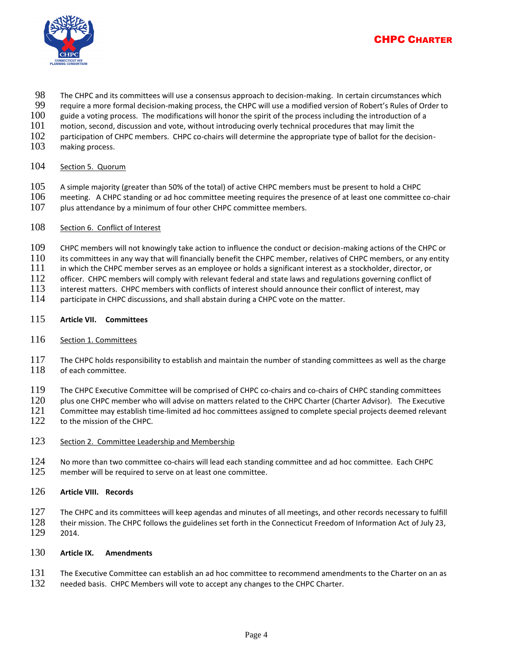

- 98 The CHPC and its committees will use a consensus approach to decision-making. In certain circumstances which
- 99 require a more formal decision-making process, the CHPC will use a modified version of Robert's Rules of Order to
- 100 guide a voting process. The modifications will honor the spirit of the process including the introduction of a
- 101 motion, second, discussion and vote, without introducing overly technical procedures that may limit the
- 102 participation of CHPC members. CHPC co-chairs will determine the appropriate type of ballot for the decision-
- 103 making process.

### 104 Section 5. Quorum

- 105 A simple majority (greater than 50% of the total) of active CHPC members must be present to hold a CHPC
- 106 meeting. A CHPC standing or ad hoc committee meeting requires the presence of at least one committee co-chair<br>107 blus attendance by a minimum of four other CHPC committee members.
- plus attendance by a minimum of four other CHPC committee members.
- 108 Section 6. Conflict of Interest
- 109 CHPC members will not knowingly take action to influence the conduct or decision-making actions of the CHPC or
- 110 its committees in any way that will financially benefit the CHPC member, relatives of CHPC members, or any entity
- 111 in which the CHPC member serves as an employee or holds a significant interest as a stockholder, director, or
- 112 officer. CHPC members will comply with relevant federal and state laws and regulations governing conflict of
- 113 interest matters. CHPC members with conflicts of interest should announce their conflict of interest, may<br>114 participate in CHPC discussions, and shall abstain during a CHPC vote on the matter.
- participate in CHPC discussions, and shall abstain during a CHPC vote on the matter.

### 115 **Article VII. Committees**

#### 116 Section 1. Committees

117 The CHPC holds responsibility to establish and maintain the number of standing committees as well as the charge 118 of each committee.

119 The CHPC Executive Committee will be comprised of CHPC co-chairs and co-chairs of CHPC standing committees

120 plus one CHPC member who will advise on matters related to the CHPC Charter (Charter Advisor). The Executive

- 121 Committee may establish time-limited ad hoc committees assigned to complete special projects deemed relevant 122 to the mission of the CHPC.
- to the mission of the CHPC.
- 123 Section 2. Committee Leadership and Membership
- 124 No more than two committee co-chairs will lead each standing committee and ad hoc committee. Each CHPC  $125$  member will be required to serve on at least one committee.
- 126 **Article VIII. Records**
- 127 The CHPC and its committees will keep agendas and minutes of all meetings, and other records necessary to fulfill 128 their mission. The CHPC follows the guidelines set forth in the Connecticut Freedom of Information Act of July 23,
- 129 2014.

# 130 **Article IX. Amendments**

131 The Executive Committee can establish an ad hoc committee to recommend amendments to the Charter on an as 132 needed basis. CHPC Members will vote to accept any changes to the CHPC Charter.